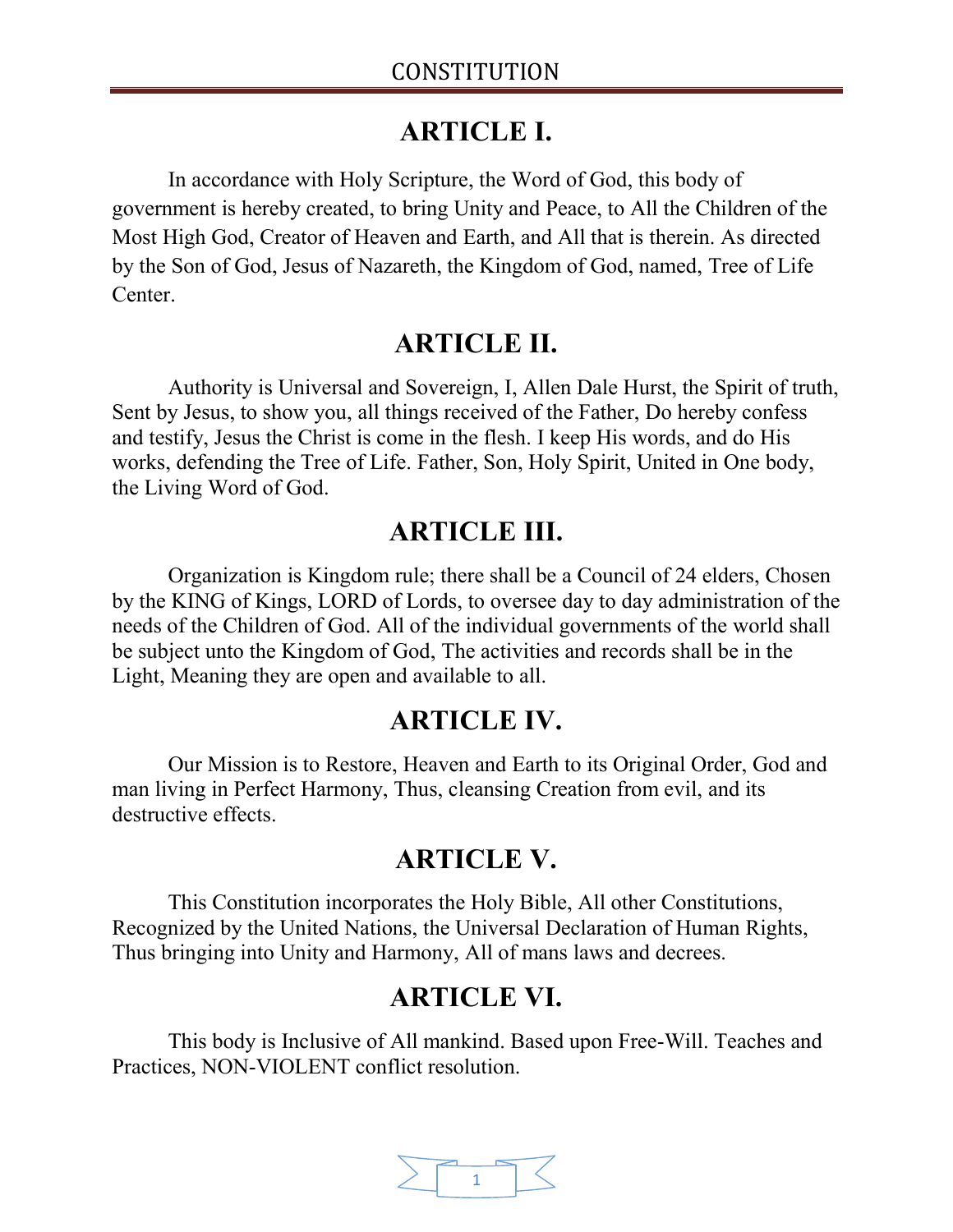# **ARTICLE I.**

In accordance with Holy Scripture, the Word of God, this body of government is hereby created, to bring Unity and Peace, to All the Children of the Most High God, Creator of Heaven and Earth, and All that is therein. As directed by the Son of God, Jesus of Nazareth, the Kingdom of God, named, Tree of Life Center.

#### **ARTICLE II.**

Authority is Universal and Sovereign, I, Allen Dale Hurst, the Spirit of truth, Sent by Jesus, to show you, all things received of the Father, Do hereby confess and testify, Jesus the Christ is come in the flesh. I keep His words, and do His works, defending the Tree of Life. Father, Son, Holy Spirit, United in One body, the Living Word of God.

### **ARTICLE III.**

Organization is Kingdom rule; there shall be a Council of 24 elders, Chosen by the KING of Kings, LORD of Lords, to oversee day to day administration of the needs of the Children of God. All of the individual governments of the world shall be subject unto the Kingdom of God, The activities and records shall be in the Light, Meaning they are open and available to all.

#### **ARTICLE IV.**

Our Mission is to Restore, Heaven and Earth to its Original Order, God and man living in Perfect Harmony, Thus, cleansing Creation from evil, and its destructive effects.

### **ARTICLE V.**

This Constitution incorporates the Holy Bible, All other Constitutions, Recognized by the United Nations, the Universal Declaration of Human Rights, Thus bringing into Unity and Harmony, All of mans laws and decrees.

### **ARTICLE VI.**

This body is Inclusive of All mankind. Based upon Free-Will. Teaches and Practices, NON-VIOLENT conflict resolution.